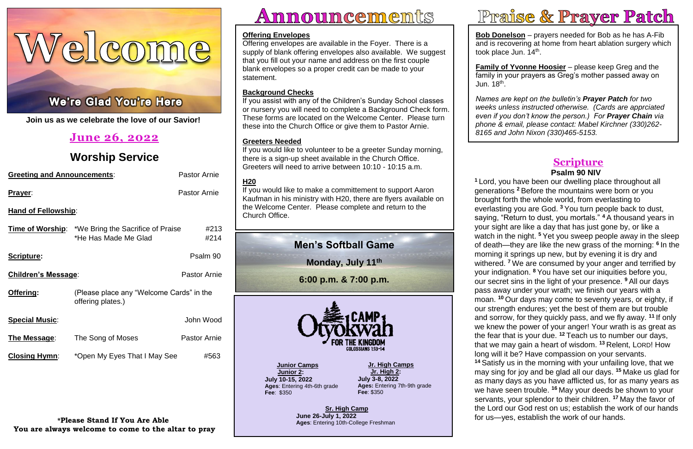Welcome

# ł



**Join us as we celebrate the love of our Savior!**

| <b>Greeting and Announcements:</b> | <b>Pastor Arnie</b>                                                               |                     |  |  |  |  |
|------------------------------------|-----------------------------------------------------------------------------------|---------------------|--|--|--|--|
| Prayer:                            |                                                                                   | <b>Pastor Arnie</b> |  |  |  |  |
| <b>Hand of Fellowship:</b>         |                                                                                   |                     |  |  |  |  |
|                                    | <b>Time of Worship:</b> *We Bring the Sacrifice of Praise<br>*He Has Made Me Glad | #213<br>#214        |  |  |  |  |
| Scripture:                         |                                                                                   | Psalm 90            |  |  |  |  |
| Children's Message:                | <b>Pastor Arnie</b>                                                               |                     |  |  |  |  |
| Offering:                          | (Please place any "Welcome Cards" in the<br>offering plates.)                     |                     |  |  |  |  |
| <b>Special Music:</b>              |                                                                                   | John Wood           |  |  |  |  |
| The Message:                       | The Song of Moses                                                                 | <b>Pastor Arnie</b> |  |  |  |  |
| <b>Closing Hymn:</b>               | *Open My Eyes That I May See                                                      | #563                |  |  |  |  |

# **June 26, 2022**

# **Worship Service**

### **\*Please Stand If You Are Able You are always welcome to come to the altar to pray**

# <u>Announcements</u>



### **Scripture Psalm 90 NIV**

**Bob Donelson** – prayers needed for Bob as he has A-Fib and is recovering at home from heart ablation surgery which took place Jun. 14<sup>th</sup>.

**<sup>1</sup>** Lord, you have been our dwelling place throughout all generations **<sup>2</sup>** Before the mountains were born or you brought forth the whole world, from everlasting to everlasting you are God. **<sup>3</sup>** You turn people back to dust, saying, "Return to dust, you mortals." <sup>4</sup> A thousand years in your sight are like a day that has just gone by, or like a watch in the night. <sup>5</sup> Yet you sweep people away in the sleep of death—they are like the new grass of the morning: **6** In the morning it springs up new, but by evening it is dry and withered. **<sup>7</sup>** We are consumed by your anger and terrified by your indignation. **<sup>8</sup>** You have set our iniquities before you, our secret sins in the light of your presence. **<sup>9</sup>** All our days pass away under your wrath; we finish our years with a moan. <sup>10</sup> Our days may come to seventy years, or eighty, if our strength endures; yet the best of them are but trouble and sorrow, for they quickly pass, and we fly away. **11** If only we knew the power of your anger! Your wrath is as great as the fear that is your due. **<sup>12</sup>** Teach us to number our days, that we may gain a heart of wisdom. **<sup>13</sup>** Relent, LORD! How long will it be? Have compassion on your servants. **<sup>14</sup>** Satisfy us in the morning with your unfailing love, that we

 *even if you don't know the person.) For Prayer Chain via*  Jun. 18<sup>th</sup>. *Names are kept on the bulletin's Prayer Patch for two weeks unless instructed otherwise. (Cards are apprciated phone & email, please contact: Mabel Kirchner (330)262- 8165 and John Nixon (330)465-5153.*

# Praise & Prayer Patch

may sing for joy and be glad all our days. **<sup>15</sup>** Make us glad for as many days as you have afflicted us, for as many years as we have seen trouble. **<sup>16</sup>** May your deeds be shown to your servants, your splendor to their children. **<sup>17</sup>** May the favor of the Lord our God rest on us; establish the work of our hands for us—yes, establish the work of our hands.

**Family of Yvonne Hoosier** – please keep Greg and the family in your prayers as Greg's mother passed away on

### **Offering Envelopes**

Offering envelopes are available in the Foyer. There is a supply of blank offering envelopes also available. We suggest that you fill out your name and address on the first couple blank envelopes so a proper credit can be made to your statement.

### **Background Checks**

If you assist with any of the Children's Sunday School classes or nursery you will need to complete a Background Check form. These forms are located on the Welcome Center. Please turn these into the Church Office or give them to Pastor Arnie.

### **Greeters Needed**

If you would like to volunteer to be a greeter Sunday morning, there is a sign-up sheet available in the Church Office. Greeters will need to arrive between 10:10 - 10:15 a.m.

### **H20**

If you would like to make a committement to support Aaron Kaufman in his ministry with H20, there are flyers available on the Welcome Center. Please complete and return to the Church Office.

## **Men's Softball Game**

**Monday, July 11th**

**6:00 p.m. & 7:00 p.m.**

**Jr. High Camps Jr. High 2: July 3-8, 2022 Ages:** Entering 7th-9th grade **Fee**: \$350

**Junior Camps Junior 2: July 10-15, 2022 Ages**: Entering 4th-6th grade **Fee**: \$350

> **Sr. High Camp June 26-July 1, 2022 Ages**: Entering 10th-College Freshman

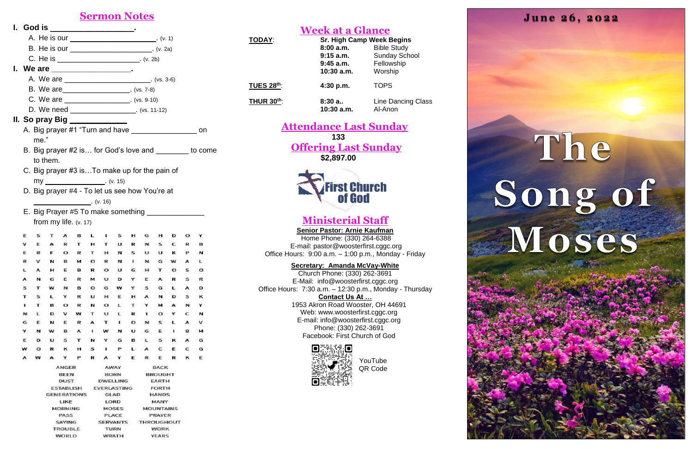### **Sermon Notes**

|      |                                                   |         |                                |                | I. God is ____________________.                       |         |                                                                                                  |        |        |                  |             |             |         |                                                          |
|------|---------------------------------------------------|---------|--------------------------------|----------------|-------------------------------------------------------|---------|--------------------------------------------------------------------------------------------------|--------|--------|------------------|-------------|-------------|---------|----------------------------------------------------------|
|      | A. He is our ____________________________. (v. 1) |         |                                |                |                                                       |         |                                                                                                  |        |        |                  |             |             |         |                                                          |
|      |                                                   |         |                                |                | B. He is our __________________________. (v. 2a)      |         |                                                                                                  |        |        |                  |             |             |         |                                                          |
|      |                                                   |         |                                |                | C. He is _______________________________. (v. 2b)     |         |                                                                                                  |        |        |                  |             |             |         |                                                          |
|      |                                                   |         |                                |                | I. We are ____________________.                       |         |                                                                                                  |        |        |                  |             |             |         |                                                          |
|      |                                                   |         |                                |                | A. We are ________________________________. (vs. 3-6) |         |                                                                                                  |        |        |                  |             |             |         |                                                          |
|      |                                                   |         |                                |                |                                                       |         |                                                                                                  |        |        |                  |             |             |         |                                                          |
|      |                                                   |         |                                |                |                                                       |         | B. We are __________________________. (vs. 7-8)<br>C. We are _______________________. (vs. 9-10) |        |        |                  |             |             |         |                                                          |
|      |                                                   |         |                                |                | D. We need ____________________. (vs. 11-12)          |         |                                                                                                  |        |        |                  |             |             |         |                                                          |
|      |                                                   |         |                                |                | II. So pray Big ____________                          |         |                                                                                                  |        |        |                  |             |             |         |                                                          |
|      |                                                   |         |                                |                |                                                       |         |                                                                                                  |        |        |                  |             |             |         |                                                          |
|      |                                                   |         |                                |                | A. Big prayer #1 "Turn and have ____________________  |         |                                                                                                  |        |        |                  |             |             |         | on                                                       |
|      |                                                   | me."    |                                |                |                                                       |         |                                                                                                  |        |        |                  |             |             |         |                                                          |
|      |                                                   |         |                                |                |                                                       |         |                                                                                                  |        |        |                  |             |             |         | B. Big prayer #2 is for God's love and _________ to come |
|      |                                                   |         | to them.                       |                |                                                       |         |                                                                                                  |        |        |                  |             |             |         |                                                          |
|      |                                                   |         |                                |                | C. Big prayer #3 isTo make up for the pain of         |         |                                                                                                  |        |        |                  |             |             |         |                                                          |
|      |                                                   |         |                                |                |                                                       |         |                                                                                                  |        |        |                  |             |             |         |                                                          |
|      |                                                   |         |                                |                | D. Big prayer #4 - To let us see how You're at        |         |                                                                                                  |        |        |                  |             |             |         |                                                          |
|      |                                                   |         |                                |                | $\overline{\phantom{a}}$ (v. 16)                      |         |                                                                                                  |        |        |                  |             |             |         |                                                          |
|      |                                                   |         |                                |                | E. Big Prayer #5 To make something ________           |         |                                                                                                  |        |        |                  |             |             |         |                                                          |
|      |                                                   |         |                                |                | from my life. $(v. 17)$                               |         |                                                                                                  |        |        |                  |             |             |         |                                                          |
|      | Е                                                 |         |                                |                | в                                                     |         |                                                                                                  | L I S  |        | H G              | H           | D           | $\circ$ |                                                          |
|      |                                                   | Е       | A                              | R              |                                                       |         |                                                                                                  | THTUR  |        | N <sub>S</sub>   |             | C           | R       | в                                                        |
|      | Е                                                 | R       | F                              |                | O R                                                   | T       | H                                                                                                |        | N S    | U                |             | $U$ K       | Р       | N                                                        |
|      | R                                                 |         | N                              | в              | м                                                     | $\circ$ | R                                                                                                |        |        |                  |             | N I N G W A |         | L                                                        |
|      | L                                                 | A       | н                              | Ε              | в                                                     | R       | $\circ$                                                                                          | U      | G      | н                |             | $T$ O       | s       | o                                                        |
|      | А                                                 | и       | G                              | Е              | R                                                     | м       | U                                                                                                | D      | Y      | Ε                | А           | R           | s       | R                                                        |
|      | s                                                 | т       | w                              | N              | в                                                     | $\circ$ | G                                                                                                | w      | Y      | s                | G           | Ł           | А       | D                                                        |
|      | т                                                 | s       | L                              | v              | R                                                     | U       | н                                                                                                | Е      | н      | A                | И           | D           | s       | κ                                                        |
|      | 1                                                 | т       | в                              | $\circ$        | R                                                     | N       | $\circ$                                                                                          | ı      | т      | Y                | м           | А           | N       | Y                                                        |
|      | N                                                 | ı.      | D                              | v              | w                                                     | т       | u                                                                                                | ŧ      | R      | ٠                | o           | Y           | с       | N                                                        |
|      | G<br>Y                                            | Е<br>и  | N<br>w                         | Е<br>в         | R<br>А                                                | А<br>٠  | т<br>w                                                                                           | ٠<br>N | О<br>U | N<br>G           | s<br>Е      | L<br>ı      | A<br>в  | v<br>м                                                   |
|      | Е                                                 | D       | U                              | s              | т                                                     | N       | Y                                                                                                | G      | в      | L                | ၭ           | ĸ           | А       | G                                                        |
|      | w                                                 | $\circ$ | R                              | κ              | н                                                     | s       | ٠                                                                                                | P      | L.     | А                | c           | Ε           | c       | G                                                        |
|      | А                                                 | w       | А                              | Y              | Р                                                     | R       | А                                                                                                | Y      | Ε      | R                | E           | R           | κ       | Ε                                                        |
|      |                                                   |         |                                | ANGER          |                                                       |         |                                                                                                  | AWAY   |        |                  | <b>BACK</b> |             |         |                                                          |
|      | <b>BEEN</b><br><b>DUST</b>                        |         | <b>BORN</b><br><b>DWELLING</b> |                |                                                       |         | <b>BROUGHT</b><br><b>EARTH</b><br><b>FORTH</b><br><b>HANDS</b><br>MANY                           |        |        |                  |             |             |         |                                                          |
|      |                                                   |         |                                |                |                                                       |         |                                                                                                  |        |        |                  |             |             |         |                                                          |
|      | <b>ESTABLISH</b>                                  |         |                                |                | EVERLASTING<br>GLAD<br>LORD                           |         |                                                                                                  |        |        |                  |             |             |         |                                                          |
|      | <b>GENERATIONS</b><br>LIKE                        |         |                                |                |                                                       |         |                                                                                                  |        |        |                  |             |             |         |                                                          |
|      |                                                   |         |                                | <b>MORNING</b> |                                                       |         | <b>MOSES</b>                                                                                     |        |        | <b>MOUNTAINS</b> |             |             |         |                                                          |
| PASS |                                                   |         |                                | PLACE          |                                                       |         | PRAYER                                                                                           |        |        |                  |             |             |         |                                                          |

**SERVANTS** 

**TURN** 

**WRATH** 

THROUGHOUT

**WORK** 

**YEARS** 

SAYING

**TROUBLE** 

**WORLD** 

### **Week at a Glance**

| <b>TODAY:</b>           | <b>Sr. High Camp Week Begins</b> |                           |  |  |  |
|-------------------------|----------------------------------|---------------------------|--|--|--|
|                         | 8:00a.m.                         | <b>Bible Study</b>        |  |  |  |
|                         | $9:15$ a.m.                      | <b>Sunday School</b>      |  |  |  |
|                         | $9:45$ a.m.                      | Fellowship                |  |  |  |
|                         | 10:30 a.m.                       | Worship                   |  |  |  |
| TUES 28th:              | 4:30 p.m.                        | <b>TOPS</b>               |  |  |  |
| THUR $30^{\text{th}}$ : | 8:30a                            | <b>Line Dancing Class</b> |  |  |  |
|                         | $10:30$ a.m.                     | Al-Anon                   |  |  |  |

**Attendance Last Sunday 133 Offering Last Sunday \$2,897.00**



# **Ministerial Staff**

**Senior Pastor: Arnie Kaufman** Home Phone: (330) 264-6388 E-mail: [pastor@woosterfirst.cggc.org](mailto:pastor@woosterfirst.cggc.org) Office Hours: 9:00 a.m. – 1:00 p.m., Monday - Friday

### **Secretary: Amanda McVay-White**

Church Phone: (330) 262-3691 E-Mail: info@woosterfirst.cggc.org Office Hours: 7:30 a.m. – 12:30 p.m., Monday - Thursday **Contact Us At …** 1953 Akron Road Wooster, OH 44691 Web: [www.woosterfirst.cggc.org](http://www.woosterfirst.cggc.org/) E-mail: info@woosterfirst.cggc.org Phone: (330) 262-3691 Facebook: First Church of God



j

ļ.

i<br>I

i.

j

Ì

YouTube QR Code



# The  $\blacktriangleright$ i. Ĭ

j.

į